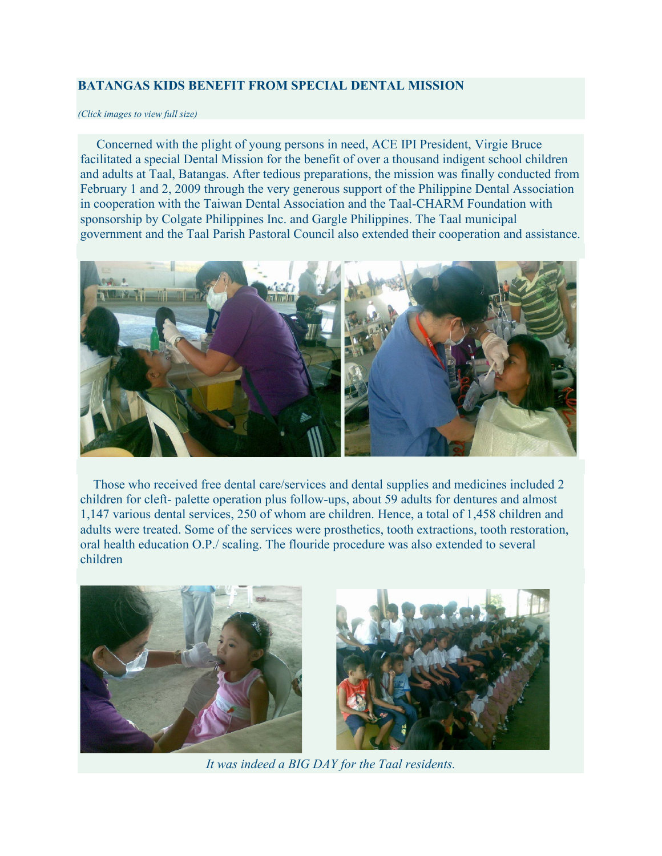## **BATANGAS KIDS BENEFIT FROM SPECIAL DENTAL MISSION**

## *(Click images to view full size)*

 Concerned with the plight of young persons in need, ACE IPI President, Virgie Bruce facilitated a special Dental Mission for the benefit of over a thousand indigent school children and adults at Taal, Batangas. After tedious preparations, the mission was finally conducted from February 1 and 2, 2009 through the very generous support of the Philippine Dental Association in cooperation with the Taiwan Dental Association and the Taal-CHARM Foundation with sponsorship by Colgate Philippines Inc. and Gargle Philippines. The Taal municipal government and the Taal Parish Pastoral Council also extended their cooperation and assistance.



 Those who received free dental care/services and dental supplies and medicines included 2 children for cleft- palette operation plus follow-ups, about 59 adults for dentures and almost 1,147 various dental services, 250 of whom are children. Hence, a total of 1,458 children and adults were treated. Some of the services were prosthetics, tooth extractions, tooth restoration, oral health education O.P./ scaling. The flouride procedure was also extended to several children





*It was indeed a BIG DAY for the Taal residents.*